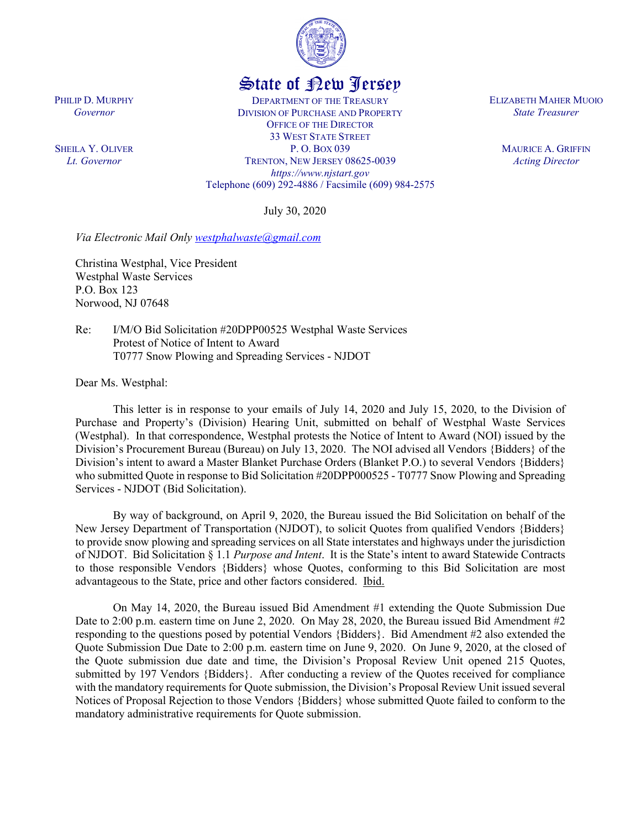

## State of New Jersey

DEPARTMENT OF THE TREASURY DIVISION OF PURCHASE AND PROPERTY OFFICE OF THE DIRECTOR 33 WEST STATE STREET P. O. BOX 039 TRENTON, NEW JERSEY 08625-0039 *https://www.njstart.gov* Telephone (609) 292-4886 / Facsimile (609) 984-2575

July 30, 2020

*Via Electronic Mail Only [westphalwaste@gmail.com](mailto:westphalwaste@gmail.comm)*

Christina Westphal, Vice President Westphal Waste Services P.O. Box 123 Norwood, NJ 07648

Re: I/M/O Bid Solicitation #20DPP00525 Westphal Waste Services Protest of Notice of Intent to Award T0777 Snow Plowing and Spreading Services - NJDOT

Dear Ms. Westphal:

PHILIP D. MURPHY *Governor*

SHEILA Y. OLIVER *Lt. Governor*

> This letter is in response to your emails of July 14, 2020 and July 15, 2020, to the Division of Purchase and Property's (Division) Hearing Unit, submitted on behalf of Westphal Waste Services (Westphal). In that correspondence, Westphal protests the Notice of Intent to Award (NOI) issued by the Division's Procurement Bureau (Bureau) on July 13, 2020. The NOI advised all Vendors {Bidders} of the Division's intent to award a Master Blanket Purchase Orders (Blanket P.O.) to several Vendors {Bidders} who submitted Quote in response to Bid Solicitation #20DPP000525 - T0777 Snow Plowing and Spreading Services - NJDOT (Bid Solicitation).

> By way of background, on April 9, 2020, the Bureau issued the Bid Solicitation on behalf of the New Jersey Department of Transportation (NJDOT), to solicit Quotes from qualified Vendors {Bidders} to provide snow plowing and spreading services on all State interstates and highways under the jurisdiction of NJDOT. Bid Solicitation § 1.1 *Purpose and Intent*. It is the State's intent to award Statewide Contracts to those responsible Vendors {Bidders} whose Quotes, conforming to this Bid Solicitation are most advantageous to the State, price and other factors considered. Ibid.

> On May 14, 2020, the Bureau issued Bid Amendment #1 extending the Quote Submission Due Date to 2:00 p.m. eastern time on June 2, 2020. On May 28, 2020, the Bureau issued Bid Amendment #2 responding to the questions posed by potential Vendors {Bidders}. Bid Amendment #2 also extended the Quote Submission Due Date to 2:00 p.m. eastern time on June 9, 2020. On June 9, 2020, at the closed of the Quote submission due date and time, the Division's Proposal Review Unit opened 215 Quotes, submitted by 197 Vendors {Bidders}. After conducting a review of the Quotes received for compliance with the mandatory requirements for Quote submission, the Division's Proposal Review Unit issued several Notices of Proposal Rejection to those Vendors {Bidders} whose submitted Quote failed to conform to the mandatory administrative requirements for Quote submission.

ELIZABETH MAHER MUOIO *State Treasurer*

> MAURICE A. GRIFFIN *Acting Director*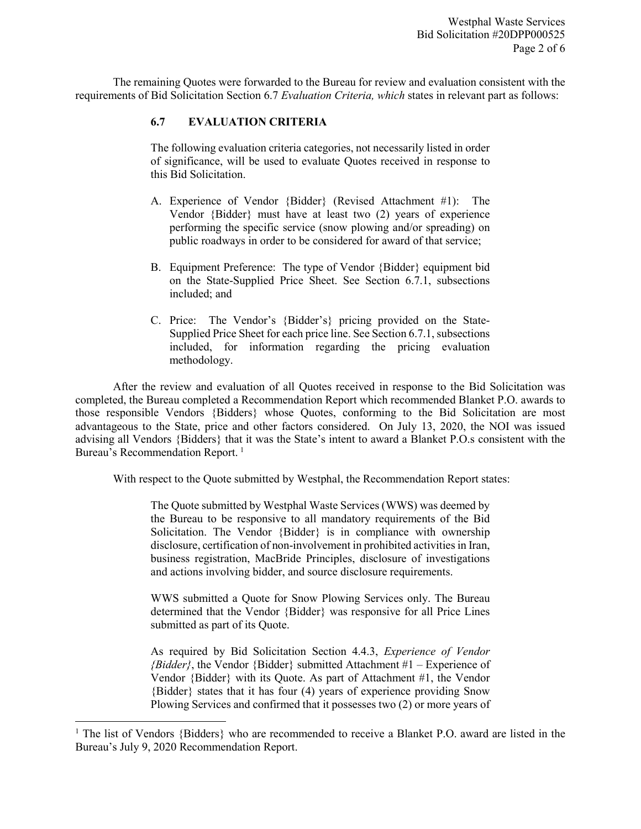The remaining Quotes were forwarded to the Bureau for review and evaluation consistent with the requirements of Bid Solicitation Section 6.7 *Evaluation Criteria, which* states in relevant part as follows:

## **6.7 EVALUATION CRITERIA**

The following evaluation criteria categories, not necessarily listed in order of significance, will be used to evaluate Quotes received in response to this Bid Solicitation.

- A. Experience of Vendor {Bidder} (Revised Attachment #1): The Vendor {Bidder} must have at least two (2) years of experience performing the specific service (snow plowing and/or spreading) on public roadways in order to be considered for award of that service;
- B. Equipment Preference: The type of Vendor {Bidder} equipment bid on the State-Supplied Price Sheet. See Section 6.7.1, subsections included; and
- C. Price: The Vendor's {Bidder's} pricing provided on the State-Supplied Price Sheet for each price line. See Section 6.7.1, subsections included, for information regarding the pricing evaluation methodology.

After the review and evaluation of all Quotes received in response to the Bid Solicitation was completed, the Bureau completed a Recommendation Report which recommended Blanket P.O. awards to those responsible Vendors {Bidders} whose Quotes, conforming to the Bid Solicitation are most advantageous to the State, price and other factors considered. On July 13, 2020, the NOI was issued advising all Vendors {Bidders} that it was the State's intent to award a Blanket P.O.s consistent with the Bureau's Recommendation Report.<sup>[1](#page-1-0)</sup>

With respect to the Quote submitted by Westphal, the Recommendation Report states:

The Quote submitted by Westphal Waste Services (WWS) was deemed by the Bureau to be responsive to all mandatory requirements of the Bid Solicitation. The Vendor {Bidder} is in compliance with ownership disclosure, certification of non-involvement in prohibited activities in Iran, business registration, MacBride Principles, disclosure of investigations and actions involving bidder, and source disclosure requirements.

WWS submitted a Quote for Snow Plowing Services only. The Bureau determined that the Vendor {Bidder} was responsive for all Price Lines submitted as part of its Quote.

As required by Bid Solicitation Section 4.4.3, *Experience of Vendor {Bidder}*, the Vendor {Bidder} submitted Attachment #1 – Experience of Vendor {Bidder} with its Quote. As part of Attachment #1, the Vendor {Bidder} states that it has four (4) years of experience providing Snow Plowing Services and confirmed that it possesses two (2) or more years of

l

<span id="page-1-0"></span><sup>&</sup>lt;sup>1</sup> The list of Vendors {Bidders} who are recommended to receive a Blanket P.O. award are listed in the Bureau's July 9, 2020 Recommendation Report.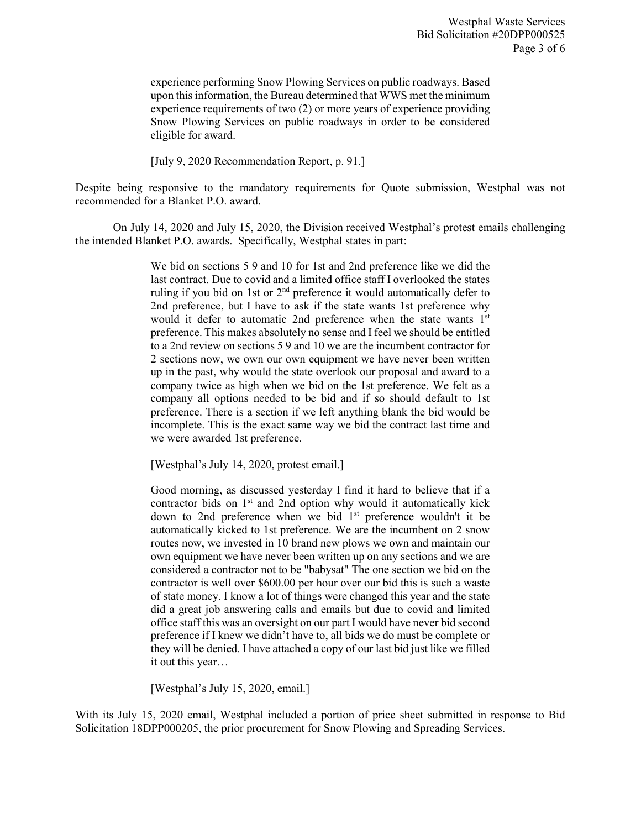experience performing Snow Plowing Services on public roadways. Based upon this information, the Bureau determined that WWS met the minimum experience requirements of two (2) or more years of experience providing Snow Plowing Services on public roadways in order to be considered eligible for award.

[July 9, 2020 Recommendation Report, p. 91.]

Despite being responsive to the mandatory requirements for Quote submission, Westphal was not recommended for a Blanket P.O. award.

On July 14, 2020 and July 15, 2020, the Division received Westphal's protest emails challenging the intended Blanket P.O. awards. Specifically, Westphal states in part:

> We bid on sections 5 9 and 10 for 1st and 2nd preference like we did the last contract. Due to covid and a limited office staff I overlooked the states ruling if you bid on 1st or 2nd preference it would automatically defer to 2nd preference, but I have to ask if the state wants 1st preference why would it defer to automatic 2nd preference when the state wants 1<sup>st</sup> preference. This makes absolutely no sense and I feel we should be entitled to a 2nd review on sections 5 9 and 10 we are the incumbent contractor for 2 sections now, we own our own equipment we have never been written up in the past, why would the state overlook our proposal and award to a company twice as high when we bid on the 1st preference. We felt as a company all options needed to be bid and if so should default to 1st preference. There is a section if we left anything blank the bid would be incomplete. This is the exact same way we bid the contract last time and we were awarded 1st preference.

[Westphal's July 14, 2020, protest email.]

Good morning, as discussed yesterday I find it hard to believe that if a contractor bids on 1<sup>st</sup> and 2nd option why would it automatically kick down to 2nd preference when we bid 1<sup>st</sup> preference wouldn't it be automatically kicked to 1st preference. We are the incumbent on 2 snow routes now, we invested in 10 brand new plows we own and maintain our own equipment we have never been written up on any sections and we are considered a contractor not to be "babysat" The one section we bid on the contractor is well over \$600.00 per hour over our bid this is such a waste of state money. I know a lot of things were changed this year and the state did a great job answering calls and emails but due to covid and limited office staff this was an oversight on our part I would have never bid second preference if I knew we didn't have to, all bids we do must be complete or they will be denied. I have attached a copy of our last bid just like we filled it out this year…

[Westphal's July 15, 2020, email.]

With its July 15, 2020 email, Westphal included a portion of price sheet submitted in response to Bid Solicitation 18DPP000205, the prior procurement for Snow Plowing and Spreading Services.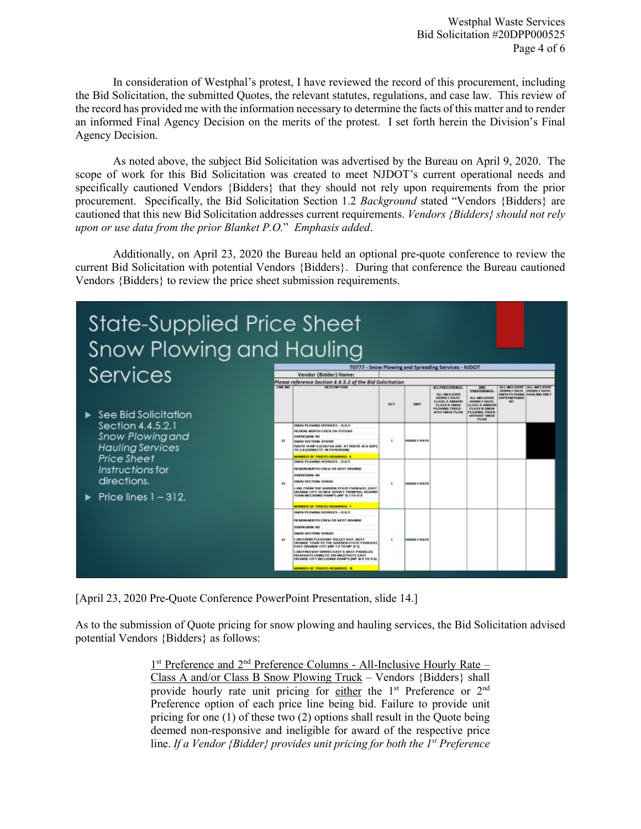In consideration of Westphal's protest, I have reviewed the record of this procurement, including the Bid Solicitation, the submitted Quotes, the relevant statutes, regulations, and case law. This review of the record has provided me with the information necessary to determine the facts of this matter and to render an informed Final Agency Decision on the merits of the protest. I set forth herein the Division's Final Agency Decision.

As noted above, the subject Bid Solicitation was advertised by the Bureau on April 9, 2020. The scope of work for this Bid Solicitation was created to meet NJDOT's current operational needs and specifically cautioned Vendors {Bidders} that they should not rely upon requirements from the prior procurement. Specifically, the Bid Solicitation Section 1.2 *Background* stated "Vendors {Bidders} are cautioned that this new Bid Solicitation addresses current requirements. *Vendors {Bidders} should not rely upon or use data from the prior Blanket P.O.*" *Emphasis added*.

Additionally, on April 23, 2020 the Bureau held an optional pre-quote conference to review the current Bid Solicitation with potential Vendors {Bidders}. During that conference the Bureau cautioned Vendors {Bidders} to review the price sheet submission requirements.



[April 23, 2020 Pre-Quote Conference PowerPoint Presentation, slide 14.]

As to the submission of Quote pricing for snow plowing and hauling services, the Bid Solicitation advised potential Vendors {Bidders} as follows:

> 1<sup>st</sup> Preference and 2<sup>nd</sup> Preference Columns - All-Inclusive Hourly Rate – Class A and/or Class B Snow Plowing Truck – Vendors {Bidders} shall provide hourly rate unit pricing for either the 1<sup>st</sup> Preference or 2<sup>nd</sup> Preference option of each price line being bid. Failure to provide unit pricing for one (1) of these two (2) options shall result in the Quote being deemed non-responsive and ineligible for award of the respective price line. *If a Vendor {Bidder} provides unit pricing for both the 1st Preference*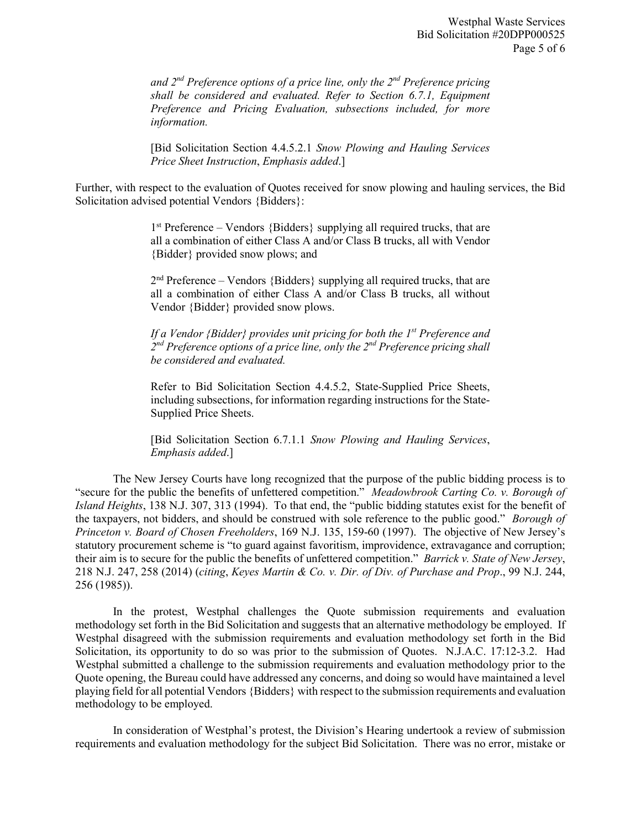*and 2nd Preference options of a price line, only the 2nd Preference pricing shall be considered and evaluated. Refer to Section 6.7.1, Equipment Preference and Pricing Evaluation, subsections included, for more information.*

[Bid Solicitation Section 4.4.5.2.1 *Snow Plowing and Hauling Services Price Sheet Instruction*, *Emphasis added*.]

Further, with respect to the evaluation of Quotes received for snow plowing and hauling services, the Bid Solicitation advised potential Vendors {Bidders}:

> $1<sup>st</sup>$  Preference – Vendors {Bidders} supplying all required trucks, that are all a combination of either Class A and/or Class B trucks, all with Vendor {Bidder} provided snow plows; and

> $2<sup>nd</sup>$  Preference – Vendors {Bidders} supplying all required trucks, that are all a combination of either Class A and/or Class B trucks, all without Vendor {Bidder} provided snow plows.

> *If a Vendor {Bidder} provides unit pricing for both the 1st Preference and 2nd Preference options of a price line, only the 2nd Preference pricing shall be considered and evaluated.*

> Refer to Bid Solicitation Section 4.4.5.2, State-Supplied Price Sheets, including subsections, for information regarding instructions for the State-Supplied Price Sheets.

> [Bid Solicitation Section 6.7.1.1 *Snow Plowing and Hauling Services*, *Emphasis added*.]

The New Jersey Courts have long recognized that the purpose of the public bidding process is to "secure for the public the benefits of unfettered competition." *Meadowbrook Carting Co. v. Borough of Island Heights*, 138 N.J. 307, 313 (1994). To that end, the "public bidding statutes exist for the benefit of the taxpayers, not bidders, and should be construed with sole reference to the public good." *Borough of Princeton v. Board of Chosen Freeholders*, 169 N.J. 135, 159-60 (1997). The objective of New Jersey's statutory procurement scheme is "to guard against favoritism, improvidence, extravagance and corruption; their aim is to secure for the public the benefits of unfettered competition." *Barrick v. State of New Jersey*, 218 N.J. 247, 258 (2014) (*citing*, *Keyes Martin & Co. v. Dir. of Div. of Purchase and Prop*., 99 N.J. 244, 256 (1985)).

In the protest, Westphal challenges the Quote submission requirements and evaluation methodology set forth in the Bid Solicitation and suggests that an alternative methodology be employed. If Westphal disagreed with the submission requirements and evaluation methodology set forth in the Bid Solicitation, its opportunity to do so was prior to the submission of Quotes. N.J.A.C. 17:12-3.2. Had Westphal submitted a challenge to the submission requirements and evaluation methodology prior to the Quote opening, the Bureau could have addressed any concerns, and doing so would have maintained a level playing field for all potential Vendors {Bidders} with respect to the submission requirements and evaluation methodology to be employed.

In consideration of Westphal's protest, the Division's Hearing undertook a review of submission requirements and evaluation methodology for the subject Bid Solicitation. There was no error, mistake or